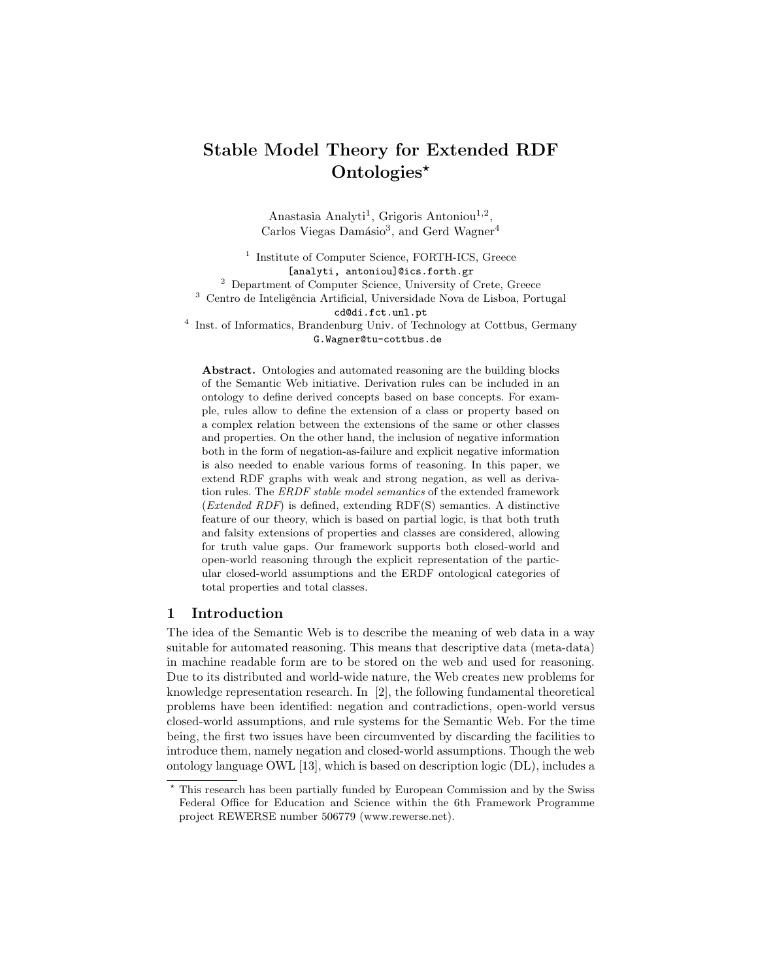# Stable Model Theory for Extended RDF Ontologies<sup>\*</sup>

Anastasia Analyti<sup>1</sup>, Grigoris Antoniou<sup>1,2</sup>, Carlos Viegas Damásio<sup>3</sup>, and Gerd Wagner<sup>4</sup>

<sup>1</sup> Institute of Computer Science, FORTH-ICS, Greece [analyti, antoniou]@ics.forth.gr <sup>2</sup> Department of Computer Science, University of Crete, Greece <sup>3</sup> Centro de Inteligência Artificial, Universidade Nova de Lisboa, Portugal cd@di.fct.unl.pt <sup>4</sup> Inst. of Informatics, Brandenburg Univ. of Technology at Cottbus, Germany G.Wagner@tu-cottbus.de

Abstract. Ontologies and automated reasoning are the building blocks of the Semantic Web initiative. Derivation rules can be included in an ontology to define derived concepts based on base concepts. For example, rules allow to define the extension of a class or property based on a complex relation between the extensions of the same or other classes and properties. On the other hand, the inclusion of negative information both in the form of negation-as-failure and explicit negative information is also needed to enable various forms of reasoning. In this paper, we extend RDF graphs with weak and strong negation, as well as derivation rules. The ERDF stable model semantics of the extended framework (Extended RDF) is defined, extending RDF(S) semantics. A distinctive feature of our theory, which is based on partial logic, is that both truth and falsity extensions of properties and classes are considered, allowing for truth value gaps. Our framework supports both closed-world and open-world reasoning through the explicit representation of the particular closed-world assumptions and the ERDF ontological categories of total properties and total classes.

## 1 Introduction

The idea of the Semantic Web is to describe the meaning of web data in a way suitable for automated reasoning. This means that descriptive data (meta-data) in machine readable form are to be stored on the web and used for reasoning. Due to its distributed and world-wide nature, the Web creates new problems for knowledge representation research. In [2], the following fundamental theoretical problems have been identified: negation and contradictions, open-world versus closed-world assumptions, and rule systems for the Semantic Web. For the time being, the first two issues have been circumvented by discarding the facilities to introduce them, namely negation and closed-world assumptions. Though the web ontology language OWL [13], which is based on description logic (DL), includes a

<sup>?</sup> This research has been partially funded by European Commission and by the Swiss Federal Office for Education and Science within the 6th Framework Programme project REWERSE number 506779 (www.rewerse.net).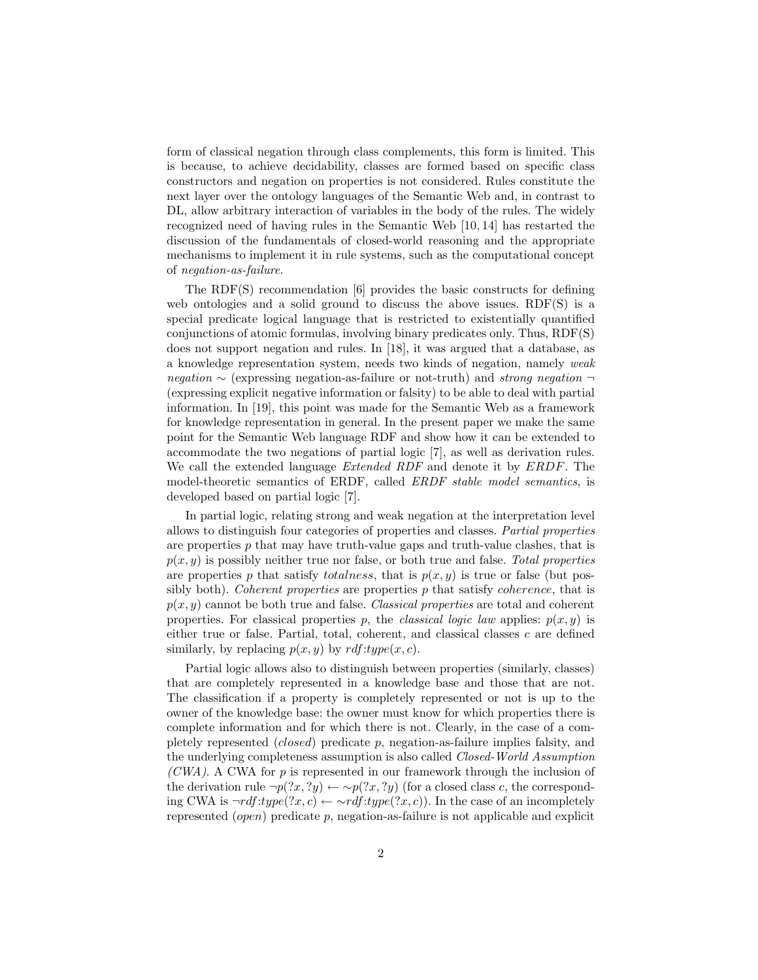form of classical negation through class complements, this form is limited. This is because, to achieve decidability, classes are formed based on specific class constructors and negation on properties is not considered. Rules constitute the next layer over the ontology languages of the Semantic Web and, in contrast to DL, allow arbitrary interaction of variables in the body of the rules. The widely recognized need of having rules in the Semantic Web [10, 14] has restarted the discussion of the fundamentals of closed-world reasoning and the appropriate mechanisms to implement it in rule systems, such as the computational concept of negation-as-failure.

The RDF(S) recommendation [6] provides the basic constructs for defining web ontologies and a solid ground to discuss the above issues. RDF(S) is a special predicate logical language that is restricted to existentially quantified conjunctions of atomic formulas, involving binary predicates only. Thus, RDF(S) does not support negation and rules. In [18], it was argued that a database, as a knowledge representation system, needs two kinds of negation, namely weak negation  $\sim$  (expressing negation-as-failure or not-truth) and strong negation  $\neg$ (expressing explicit negative information or falsity) to be able to deal with partial information. In [19], this point was made for the Semantic Web as a framework for knowledge representation in general. In the present paper we make the same point for the Semantic Web language RDF and show how it can be extended to accommodate the two negations of partial logic [7], as well as derivation rules. We call the extended language *Extended RDF* and denote it by *ERDF*. The model-theoretic semantics of ERDF, called ERDF stable model semantics, is developed based on partial logic [7].

In partial logic, relating strong and weak negation at the interpretation level allows to distinguish four categories of properties and classes. Partial properties are properties  $p$  that may have truth-value gaps and truth-value clashes, that is  $p(x, y)$  is possibly neither true nor false, or both true and false. Total properties are properties p that satisfy *totalness*, that is  $p(x, y)$  is true or false (but possibly both). Coherent properties are properties  $p$  that satisfy coherence, that is  $p(x, y)$  cannot be both true and false. Classical properties are total and coherent properties. For classical properties p, the *classical logic law* applies:  $p(x, y)$  is either true or false. Partial, total, coherent, and classical classes  $c$  are defined similarly, by replacing  $p(x, y)$  by  $\textit{rdf:type}(x, c)$ .

Partial logic allows also to distinguish between properties (similarly, classes) that are completely represented in a knowledge base and those that are not. The classification if a property is completely represented or not is up to the owner of the knowledge base: the owner must know for which properties there is complete information and for which there is not. Clearly, in the case of a completely represented (closed) predicate p, negation-as-failure implies falsity, and the underlying completeness assumption is also called Closed-World Assumption  $(CWA)$ . A CWA for p is represented in our framework through the inclusion of the derivation rule  $\neg p(?x, ?y) \leftarrow \sim p(?x, ?y)$  (for a closed class c, the corresponding CWA is  $\neg rdf: type(?x, c) \leftarrow \neg rdf: type(?x, c)$ ). In the case of an incompletely represented  $(open)$  predicate  $p$ , negation-as-failure is not applicable and explicit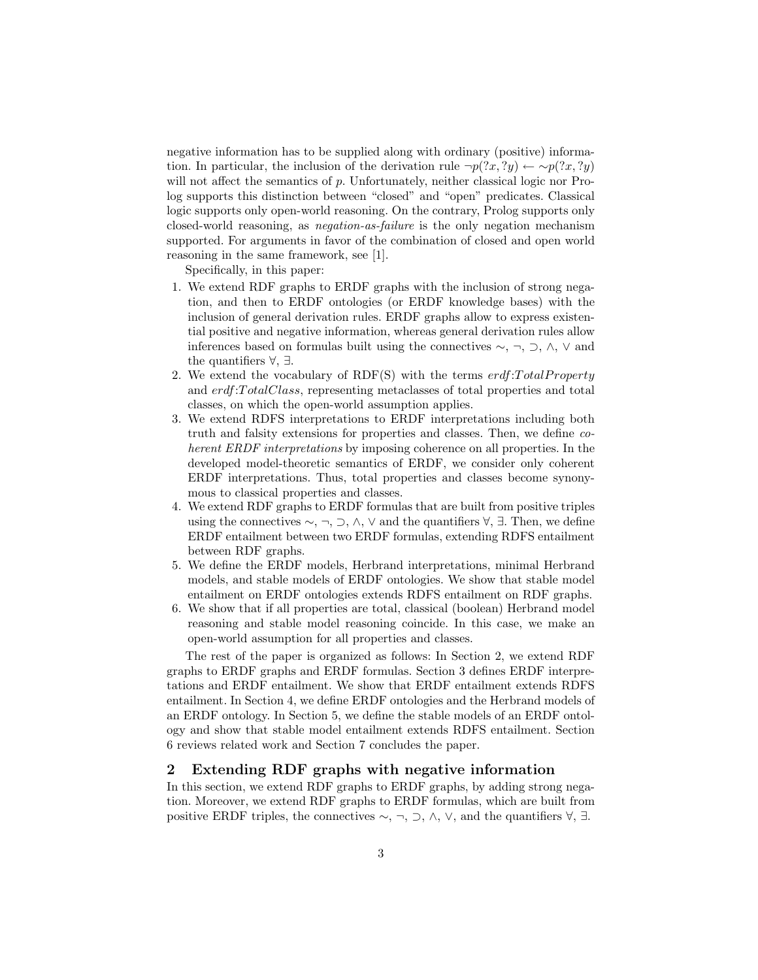negative information has to be supplied along with ordinary (positive) information. In particular, the inclusion of the derivation rule  $\neg p(2x, 2y) \leftarrow \sim p(2x, 2y)$ will not affect the semantics of  $p$ . Unfortunately, neither classical logic nor Prolog supports this distinction between "closed" and "open" predicates. Classical logic supports only open-world reasoning. On the contrary, Prolog supports only closed-world reasoning, as negation-as-failure is the only negation mechanism supported. For arguments in favor of the combination of closed and open world reasoning in the same framework, see [1].

Specifically, in this paper:

- 1. We extend RDF graphs to ERDF graphs with the inclusion of strong negation, and then to ERDF ontologies (or ERDF knowledge bases) with the inclusion of general derivation rules. ERDF graphs allow to express existential positive and negative information, whereas general derivation rules allow inferences based on formulas built using the connectives  $\sim$ ,  $\neg$ ,  $\triangleright$ ,  $\wedge$ ,  $\vee$  and the quantifiers ∀, ∃.
- 2. We extend the vocabulary of RDF(S) with the terms  $erdf:TotalProperty$ and erdf: TotalClass, representing metaclasses of total properties and total classes, on which the open-world assumption applies.
- 3. We extend RDFS interpretations to ERDF interpretations including both truth and falsity extensions for properties and classes. Then, we define coherent ERDF interpretations by imposing coherence on all properties. In the developed model-theoretic semantics of ERDF, we consider only coherent ERDF interpretations. Thus, total properties and classes become synonymous to classical properties and classes.
- 4. We extend RDF graphs to ERDF formulas that are built from positive triples using the connectives  $\sim$ ,  $\neg$ ,  $\triangleright$ ,  $\wedge$ ,  $\vee$  and the quantifiers  $\forall$ ,  $\exists$ . Then, we define ERDF entailment between two ERDF formulas, extending RDFS entailment between RDF graphs.
- 5. We define the ERDF models, Herbrand interpretations, minimal Herbrand models, and stable models of ERDF ontologies. We show that stable model entailment on ERDF ontologies extends RDFS entailment on RDF graphs.
- 6. We show that if all properties are total, classical (boolean) Herbrand model reasoning and stable model reasoning coincide. In this case, we make an open-world assumption for all properties and classes.

The rest of the paper is organized as follows: In Section 2, we extend RDF graphs to ERDF graphs and ERDF formulas. Section 3 defines ERDF interpretations and ERDF entailment. We show that ERDF entailment extends RDFS entailment. In Section 4, we define ERDF ontologies and the Herbrand models of an ERDF ontology. In Section 5, we define the stable models of an ERDF ontology and show that stable model entailment extends RDFS entailment. Section 6 reviews related work and Section 7 concludes the paper.

#### 2 Extending RDF graphs with negative information

In this section, we extend RDF graphs to ERDF graphs, by adding strong negation. Moreover, we extend RDF graphs to ERDF formulas, which are built from positive ERDF triples, the connectives  $\sim$ ,  $\neg$ ,  $\wedge$ ,  $\vee$ , and the quantifiers  $\forall$ ,  $\exists$ .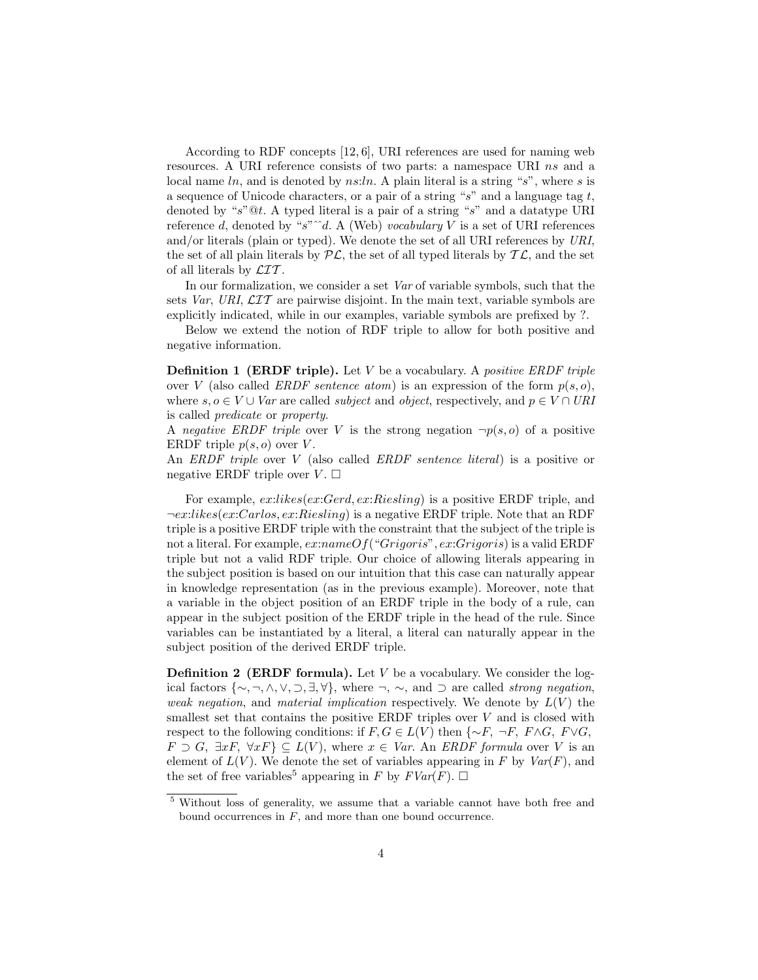According to RDF concepts [12, 6], URI references are used for naming web resources. A URI reference consists of two parts: a namespace URI ns and a local name ln, and is denoted by  $ns:ln$ . A plain literal is a string "s", where s is a sequence of Unicode characters, or a pair of a string " $s$ " and a language tag  $t$ , denoted by "s"@t. A typed literal is a pair of a string "s" and a datatype URI reference d, denoted by "s"  $\hat{d}$ . A (Web) vocabulary V is a set of URI references and/or literals (plain or typed). We denote the set of all URI references by URI, the set of all plain literals by  $\mathcal{PL}$ , the set of all typed literals by  $\mathcal{TL}$ , and the set of all literals by  $\mathcal{LIT}$ .

In our formalization, we consider a set Var of variable symbols, such that the sets Var, URI,  $\mathcal{LIT}$  are pairwise disjoint. In the main text, variable symbols are explicitly indicated, while in our examples, variable symbols are prefixed by ?.

Below we extend the notion of RDF triple to allow for both positive and negative information.

**Definition 1 (ERDF triple).** Let  $V$  be a vocabulary. A *positive ERDF triple* over V (also called *ERDF sentence atom*) is an expression of the form  $p(s, o)$ , where  $s, o \in V \cup Var$  are called *subject* and *object*, respectively, and  $p \in V \cap URI$ is called predicate or property.

A negative ERDF triple over V is the strong negation  $\neg p(s, o)$  of a positive ERDF triple  $p(s, o)$  over V.

An *ERDF* triple over V (also called *ERDF sentence literal*) is a positive or negative ERDF triple over  $V \square$ 

For example,  $ex:likes(ex:Gerd, ex:Riesling)$  is a positive ERDF triple, and  $\neg ex:likes(ex: Carlos, ex:Riesling)$  is a negative ERDF triple. Note that an RDF triple is a positive ERDF triple with the constraint that the subject of the triple is not a literal. For example,  $ex:nameOf("Grigoris", ex:Grigoris)$  is a valid ERDF triple but not a valid RDF triple. Our choice of allowing literals appearing in the subject position is based on our intuition that this case can naturally appear in knowledge representation (as in the previous example). Moreover, note that a variable in the object position of an ERDF triple in the body of a rule, can appear in the subject position of the ERDF triple in the head of the rule. Since variables can be instantiated by a literal, a literal can naturally appear in the subject position of the derived ERDF triple.

**Definition 2 (ERDF formula).** Let  $V$  be a vocabulary. We consider the logical factors  $\{\sim, \neg, \wedge, \vee, \supset, \exists, \forall\}$ , where  $\neg, \sim$ , and  $\supset$  are called *strong negation*, weak negation, and material implication respectively. We denote by  $L(V)$  the smallest set that contains the positive ERDF triples over  $V$  and is closed with respect to the following conditions: if  $F, G \in L(V)$  then  $\{\sim F, \neg F, F \wedge G, F \vee G,$  $F \supset G$ ,  $\exists x F$ ,  $\forall x F$ }  $\subseteq L(V)$ , where  $x \in Var$ . An *ERDF formula* over V is an element of  $L(V)$ . We denote the set of variables appearing in F by  $Var(F)$ , and the set of free variables<sup>5</sup> appearing in F by  $FVar(F)$ .  $\Box$ 

<sup>5</sup> Without loss of generality, we assume that a variable cannot have both free and bound occurrences in F, and more than one bound occurrence.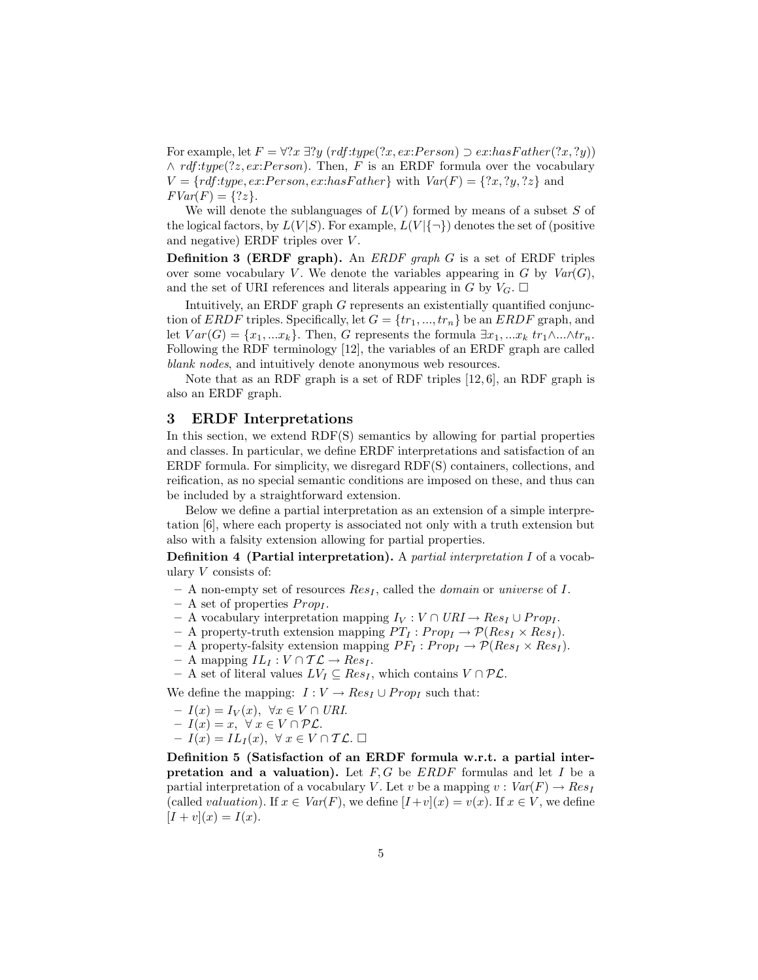For example, let  $F = \forall?x \exists?y (rdf:type(?x, ex:Person) \supset ex:hasFather(?x,?y))$  $\wedge$  rdf:type(?z, ex:Person). Then, F is an ERDF formula over the vocabulary  $V = \{rdf: type, ex: Person, ex: hasFather\}$  with  $Var(F) = \{?x, ?y, ?z\}$  and  $FVar(F) = \{?z\}.$ 

We will denote the sublanguages of  $L(V)$  formed by means of a subset S of the logical factors, by  $L(V|S)$ . For example,  $L(V|\{\neg\})$  denotes the set of (positive and negative) ERDF triples over V .

Definition 3 (ERDF graph). An ERDF graph G is a set of ERDF triples over some vocabulary V. We denote the variables appearing in G by  $Var(G)$ , and the set of URI references and literals appearing in G by  $V_G$ .  $\Box$ 

Intuitively, an ERDF graph  $G$  represents an existentially quantified conjunction of ERDF triples. Specifically, let  $G = \{tr_1, ..., tr_n\}$  be an ERDF graph, and let  $Var(G) = \{x_1, ... x_k\}$ . Then, G represents the formula  $\exists x_1, ... x_k$  tr<sub>1</sub>∧...∧tr<sub>n</sub>. Following the RDF terminology [12], the variables of an ERDF graph are called blank nodes, and intuitively denote anonymous web resources.

Note that as an RDF graph is a set of RDF triples [12, 6], an RDF graph is also an ERDF graph.

#### 3 ERDF Interpretations

In this section, we extend RDF(S) semantics by allowing for partial properties and classes. In particular, we define ERDF interpretations and satisfaction of an ERDF formula. For simplicity, we disregard RDF(S) containers, collections, and reification, as no special semantic conditions are imposed on these, and thus can be included by a straightforward extension.

Below we define a partial interpretation as an extension of a simple interpretation [6], where each property is associated not only with a truth extension but also with a falsity extension allowing for partial properties.

Definition 4 (Partial interpretation). A partial interpretation I of a vocabulary  $V$  consists of:

- A non-empty set of resources  $Res_I$ , called the *domain* or universe of I.
- A set of properties  $Prop<sub>I</sub>$ .
- A vocabulary interpretation mapping  $I_V : V \cap URI \rightarrow Res_I \cup Prop_I$ .
- A property-truth extension mapping  $PT_I : Prop_I \rightarrow \mathcal{P}(Res_I \times Res_I).$
- A property-falsity extension mapping  $PF_I: Prop_I \rightarrow \mathcal{P}(Res_I \times Res_I)$ .
- A mapping  $IL_I: V \cap T\mathcal{L} \rightarrow Res_I$ .
- A set of literal values  $LV_I \subseteq Res_I$ , which contains  $V \cap \mathcal{PL}$ .

We define the mapping:  $I: V \to Res_I \cup Prop_I$  such that:

- $-I(x) = I_V(x), \ \forall x \in V \cap URI.$
- $-I(x) = x, \forall x \in V \cap \mathcal{PL}.$
- $-I(x) = IL_I(x), \forall x \in V \cap TL$ .

Definition 5 (Satisfaction of an ERDF formula w.r.t. a partial inter**pretation and a valuation).** Let  $F, G$  be  $ERDF$  formulas and let I be a partial interpretation of a vocabulary V. Let v be a mapping  $v : Var(F) \rightarrow Res_I$ (called *valuation*). If  $x \in Var(F)$ , we define  $[I+v](x) = v(x)$ . If  $x \in V$ , we define  $[I + v](x) = I(x).$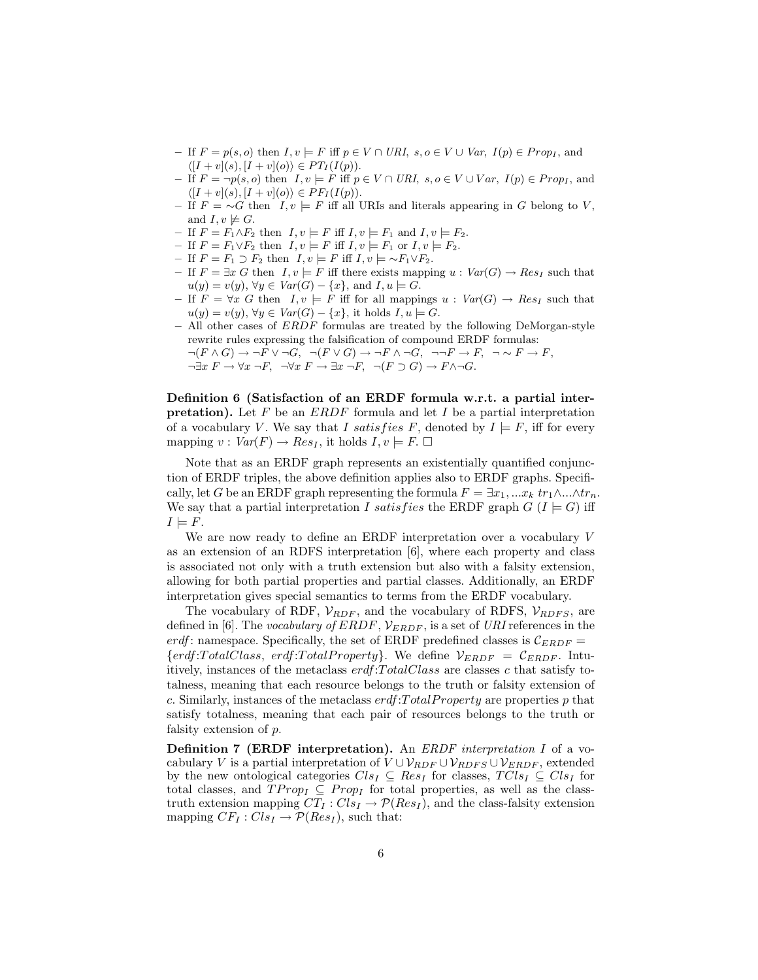- If  $F = p(s, o)$  then  $I, v \models F$  iff  $p \in V \cap URI$ ,  $s, o \in V \cup Var$ ,  $I(p) \in Prop<sub>I</sub>$ , and  $\langle [I + v](s), [I + v](o) \rangle \in PT_I(I(p)).$
- If  $F = \neg p(s, o)$  then  $I, v \models F$  iff  $p \in V \cap URI$ ,  $s, o \in V \cup Var$ ,  $I(p) \in Prop<sub>I</sub>$ , and  $\langle [I + v](s), [I + v](o) \rangle \in PF_I(I(p)).$
- If  $F = \neg G$  then  $I, v \models F$  iff all URIs and literals appearing in G belong to V, and  $I, v \not\models G$ .
- If  $F = F_1 \wedge F_2$  then  $I, v \models F$  iff  $I, v \models F_1$  and  $I, v \models F_2$ .
- If  $F = F_1 \vee F_2$  then  $I, v \models F$  iff  $I, v \models F_1$  or  $I, v \models F_2$ .
- If  $F = F_1 \supset F_2$  then  $I, v \models F$  iff  $I, v \models \sim F_1 \vee F_2$ .
- If  $F = \exists x G$  then  $I, v \models F$  iff there exists mapping  $u : Var(G) \rightarrow Res_I$  such that  $u(y) = v(y), \forall y \in Var(G) - \{x\}, \text{ and } I, u \models G.$
- If  $F = \forall x \ G$  then  $I, v \models F$  iff for all mappings  $u : Var(G) \to Res_I$  such that  $u(y) = v(y), \forall y \in Var(G) - \{x\}, \text{ it holds } I, u \models G.$
- $-$  All other cases of  $ERDF$  formulas are treated by the following DeMorgan-style rewrite rules expressing the falsification of compound ERDF formulas:  $\neg (F \wedge G) \rightarrow \neg F \vee \neg G, \neg (F \vee G) \rightarrow \neg F \wedge \neg G, \neg \neg F \rightarrow F, \neg \sim F \rightarrow F,$

 $\neg \exists x \ F \rightarrow \forall x \ \neg F$ ,  $\neg \forall x \ F \rightarrow \exists x \ \neg F$ ,  $\neg (F \supset G) \rightarrow F \land \neg G$ .

Definition 6 (Satisfaction of an ERDF formula w.r.t. a partial inter**pretation**). Let  $F$  be an  $ERDF$  formula and let  $I$  be a partial interpretation of a vocabulary V. We say that I satisfies F, denoted by  $I \models F$ , iff for every mapping  $v: Var(F) \to Res_I$ , it holds  $I, v \models F. \Box$ 

Note that as an ERDF graph represents an existentially quantified conjunction of ERDF triples, the above definition applies also to ERDF graphs. Specifically, let G be an ERDF graph representing the formula  $F = \exists x_1, \dots x_k$  tr<sub>1</sub>∧... $\wedge tr_n$ . We say that a partial interpretation I satisfies the ERDF graph  $G$  ( $I \models G$ ) iff  $I \models F$ .

We are now ready to define an ERDF interpretation over a vocabulary V as an extension of an RDFS interpretation [6], where each property and class is associated not only with a truth extension but also with a falsity extension, allowing for both partial properties and partial classes. Additionally, an ERDF interpretation gives special semantics to terms from the ERDF vocabulary.

The vocabulary of RDF,  $V_{RDF}$ , and the vocabulary of RDFS,  $V_{RDFS}$ , are defined in [6]. The vocabulary of ERDF,  $V_{ERDF}$ , is a set of URI references in the erdf: namespace. Specifically, the set of ERDF predefined classes is  $\mathcal{C}_{ERDF}$  =  ${erdf:TotalClass, erdf:TotalProperty}.$  We define  $V_{ERDF} = C_{ERDF}$ . Intuitively, instances of the metaclass  $erdf:TotalClass$  are classes c that satisfy totalness, meaning that each resource belongs to the truth or falsity extension of c. Similarly, instances of the metaclass  $erdf:TotalProperty$  are properties p that satisfy totalness, meaning that each pair of resources belongs to the truth or falsity extension of p.

Definition 7 (ERDF interpretation). An *ERDF interpretation I* of a vocabulary V is a partial interpretation of  $V \cup \mathcal{V}_{RDF} \cup \mathcal{V}_{RDF} \cup \mathcal{V}_{ERDF}$ , extended by the new ontological categories  $Cls<sub>I</sub> \subseteq Res<sub>I</sub>$  for classes,  $TCls<sub>I</sub> \subseteq Cls<sub>I</sub>$  for total classes, and  $TProp_I \subseteq Prop_I$  for total properties, as well as the classtruth extension mapping  $CT_I : Cls_I \rightarrow \mathcal{P}(Res_I)$ , and the class-falsity extension mapping  $CF_I : Cls_I \rightarrow \mathcal{P}(Res_I)$ , such that: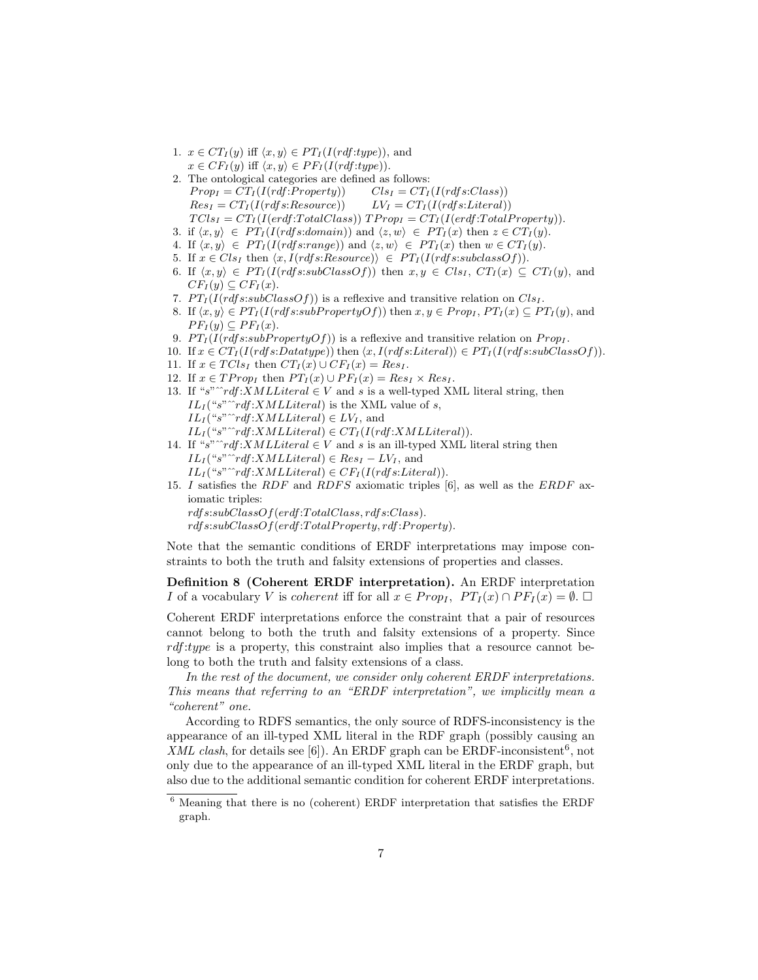- 1.  $x \in CT_I(y)$  iff  $\langle x, y \rangle \in PT_I(I(rdf:type)),$  and  $x \in CF_I(y)$  iff  $\langle x, y \rangle \in PF_I(I(rdf:type)).$
- 2. The ontological categories are defined as follows:  $Prop_I = CT_I(I(rdf:Property))$   $Cls_I = CT_I(I(rdfs:Class))$  $Res_I = CT_I(I(rdfs:Resource))$   $LV_I = CT_I(I(rdfs:Literal))$  $TCls_I = CT_I(I(erdf:TotalClass))$   $TProp_I = CT_I(I(erdf:TotalProperty)).$
- 3. if  $\langle x, y \rangle \in PT_I(I(rdfs:domain))$  and  $\langle z, w \rangle \in PT_I(x)$  then  $z \in CT_I(y)$ .
- 4. If  $\langle x, y \rangle \in PT_I(I(rdfs:range))$  and  $\langle z, w \rangle \in PT_I(x)$  then  $w \in CT_I(y)$ .
- 5. If  $x \in Cls_I$  then  $\langle x, I(rdfs:Resource)\rangle \in PT_I(I(rdfs:subclassOf))$ .
- 6. If  $\langle x, y \rangle \in PT_I(I(rdfssubClassOf))$  then  $x, y \in Cls_I$ ,  $CT_I(x) \subseteq CT_I(y)$ , and  $CF_I(y) \subseteq CF_I(x)$ .
- 7.  $PT_I(I(rdfssubClassOf))$  is a reflexive and transitive relation on  $Cls_I$ .
- 8. If  $\langle x, y \rangle \in PT_I(I(rdfs:subPropertyOf))$  then  $x, y \in Prop_I$ ,  $PT_I(x) \subseteq PT_I(y)$ , and  $PF_I(y) \subseteq PF_I(x)$ .
- 9.  $PT_I(I(rdfs:subPropertyOf))$  is a reflexive and transitive relation on  $Prop_I$ .
- 10. If  $x \in CT_I(I(rdfs:Datatype))$  then  $\langle x, I(rdfs:Literal)\rangle \in PT_I(I(rdfs:subClassOf))$ .
- 11. If  $x \in TCls_I$  then  $CT_I(x) \cup CF_I(x) = Res_I$ .
- 12. If  $x \in TProp_I$  then  $PT_I(x) \cup PF_I(x) = Res_I \times Res_I$ .
- 13. If "s"<sup> $\gamma$ </sup>rdf:XMLLiteral  $\in V$  and s is a well-typed XML literal string, then  $IL_I("s"~\hat{r}dt: XMLliteral)$  is the XML value of s,
	- $IL_I("s"~\hat{f}: XMLLiteral) \in LV_I$ , and
	- $IL_I("s"~\hat{r}~df: XMLLiteral) \in CT_I(I(rdf:XMLLiteral)).$
- 14. If "s"^rdf: $XMLLiteral \in V$  and s is an ill-typed XML literal string then  $IL_I("s"~\hat{ } rdf : XMLLiteral) \in Res_I - LV_I$ , and  $IL_I("s"~\hat{r}dt: XMLliteral) \in CF_I(I(rdfs:Literal)).$
- 15. I satisfies the RDF and RDFS axiomatic triples  $[6]$ , as well as the ERDF axiomatic triples:
	- rdfs:subClassOf(erdf:T otalClass, rdfs:Class).

 $rdfs:subClassOf(erdf:Total Property, rdf:Property).$ 

Note that the semantic conditions of ERDF interpretations may impose constraints to both the truth and falsity extensions of properties and classes.

Definition 8 (Coherent ERDF interpretation). An ERDF interpretation I of a vocabulary V is coherent iff for all  $x \in Prop_I$ ,  $PT_I(x) \cap PF_I(x) = \emptyset$ .

Coherent ERDF interpretations enforce the constraint that a pair of resources cannot belong to both the truth and falsity extensions of a property. Since rdf:type is a property, this constraint also implies that a resource cannot belong to both the truth and falsity extensions of a class.

In the rest of the document, we consider only coherent ERDF interpretations. This means that referring to an "ERDF interpretation", we implicitly mean a "coherent" one.

According to RDFS semantics, the only source of RDFS-inconsistency is the appearance of an ill-typed XML literal in the RDF graph (possibly causing an XML clash, for details see [6]). An ERDF graph can be ERDF-inconsistent<sup>6</sup>, not only due to the appearance of an ill-typed XML literal in the ERDF graph, but also due to the additional semantic condition for coherent ERDF interpretations.

 $^6$  Meaning that there is no (coherent) ERDF interpretation that satisfies the ERDF graph.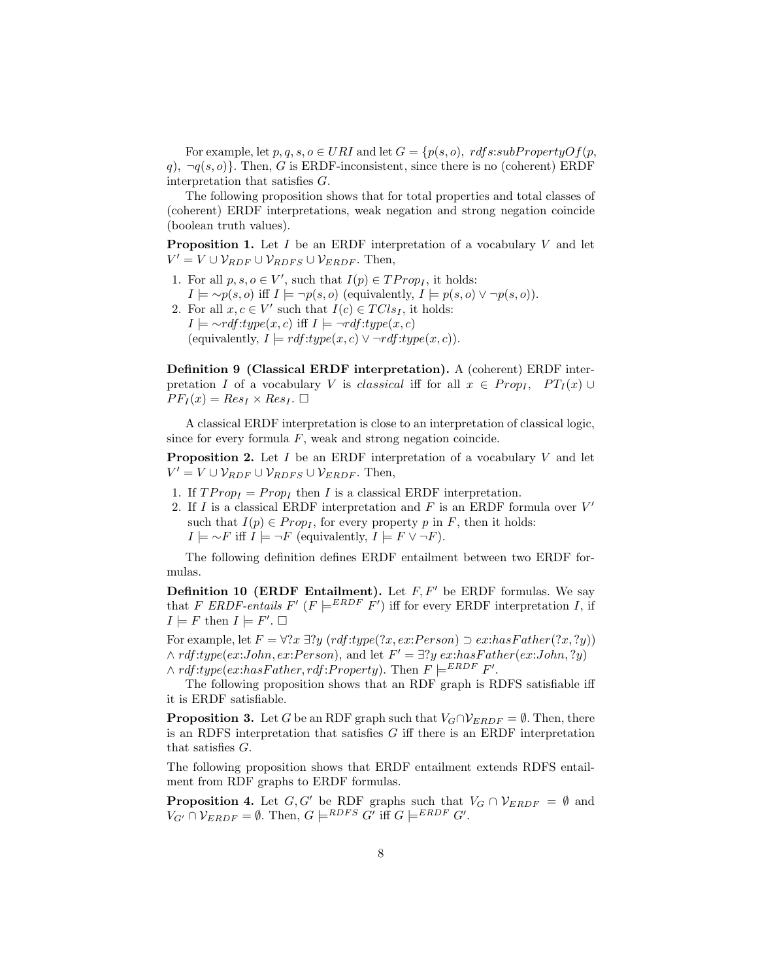For example, let  $p, q, s, o \in URI$  and let  $G = \{p(s, o), rdfs:subPropertyOf(p,$ q),  $\neg q(s, o)$ . Then, G is ERDF-inconsistent, since there is no (coherent) ERDF interpretation that satisfies G.

The following proposition shows that for total properties and total classes of (coherent) ERDF interpretations, weak negation and strong negation coincide (boolean truth values).

**Proposition 1.** Let  $I$  be an ERDF interpretation of a vocabulary  $V$  and let  $V' = V \cup \mathcal{V}_{RDF} \cup \mathcal{V}_{RDFS} \cup \mathcal{V}_{ERDF}$ . Then,

- 1. For all  $p, s, o \in V'$ , such that  $I(p) \in TProp_I$ , it holds:  $I \models \sim p(s, o)$  iff  $I \models \neg p(s, o)$  (equivalently,  $I \models p(s, o) \vee \neg p(s, o)$ ).
- 2. For all  $x, c \in V'$  such that  $I(c) \in TCls_I$ , it holds:  $I \models \sim rdf: type(x, c) \text{ iff } I \models \neg rdf: type(x, c)$ (equivalently,  $I \models rdf: type(x, c) \vee \neg rdf: type(x, c)$ ).

Definition 9 (Classical ERDF interpretation). A (coherent) ERDF interpretation I of a vocabulary V is classical iff for all  $x \in Prop_I$ ,  $PT_I(x) \cup$  $PF_I(x) = Res_I \times Res_I$ .

A classical ERDF interpretation is close to an interpretation of classical logic, since for every formula  $F$ , weak and strong negation coincide.

**Proposition 2.** Let  $I$  be an ERDF interpretation of a vocabulary  $V$  and let  $V' = V \cup \mathcal{V}_{RDF} \cup \mathcal{V}_{RDFS} \cup \mathcal{V}_{ERDF}$ . Then,

- 1. If  $TProp_I = Prop_I$  then I is a classical ERDF interpretation.
- 2. If  $I$  is a classical ERDF interpretation and  $F$  is an ERDF formula over  $V'$ such that  $I(p) \in Prop_I$ , for every property p in F, then it holds:  $I \models \neg F$  iff  $I \models \neg F$  (equivalently,  $I \models F \vee \neg F$ ).

The following definition defines ERDF entailment between two ERDF formulas.

**Definition 10 (ERDF Entailment).** Let  $F, F'$  be ERDF formulas. We say that F ERDF-entails  $F'(F \models^{ERDF} F')$  iff for every ERDF interpretation I, if  $I \models F$  then  $I \models F'$ .  $\Box$ 

For example, let  $F = \forall?x \exists?y (rdf:type(?x, ex:Person) \supset ex:hasFather(?x,?y))$  $\wedge$  rdf:type(ex:John, ex:Person), and let  $F' = \exists?y \; ex: hasFather(ex:John, ?y)$  $\wedge$  rdf:type(ex:hasFather, rdf:Property). Then  $F \models^{ERDF} F'.$ 

The following proposition shows that an RDF graph is RDFS satisfiable iff it is ERDF satisfiable.

**Proposition 3.** Let G be an RDF graph such that  $V_G \cap V_{EBDF} = \emptyset$ . Then, there is an RDFS interpretation that satisfies  $G$  iff there is an ERDF interpretation that satisfies G.

The following proposition shows that ERDF entailment extends RDFS entailment from RDF graphs to ERDF formulas.

**Proposition 4.** Let G, G' be RDF graphs such that  $V_G \cap V_{ERDF} = \emptyset$  and  $V_{G'} \cap \mathcal{V}_{ERDF} = \emptyset$ . Then,  $G \models^{RDFS} G'$  iff  $G \models^{ERDF} G'$ .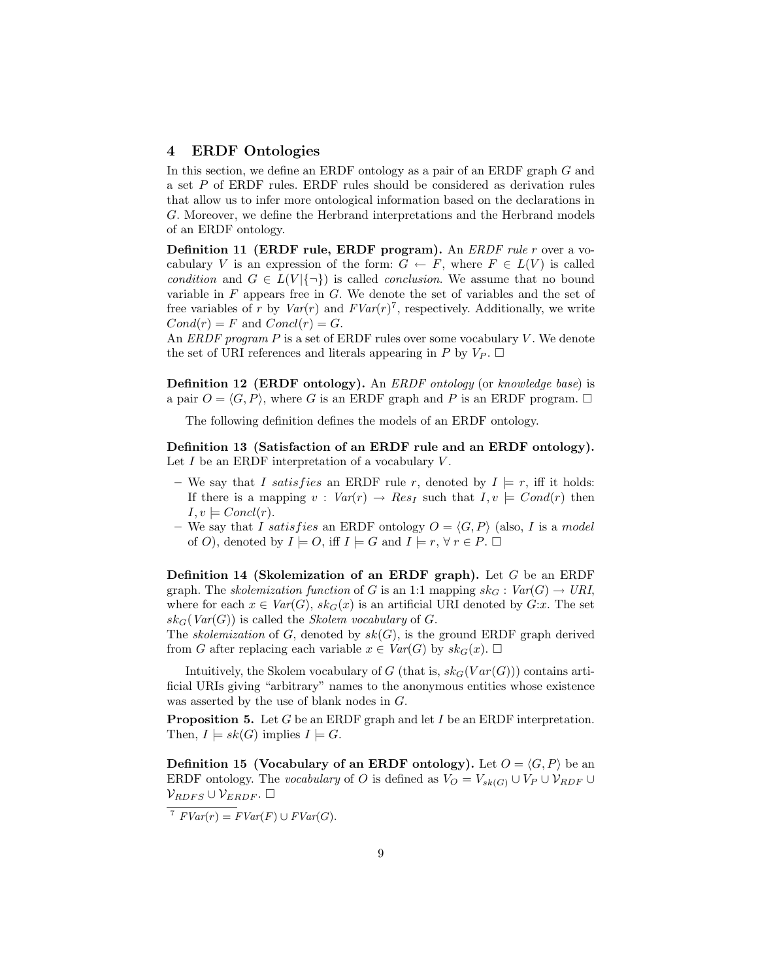## 4 ERDF Ontologies

In this section, we define an ERDF ontology as a pair of an ERDF graph G and a set P of ERDF rules. ERDF rules should be considered as derivation rules that allow us to infer more ontological information based on the declarations in G. Moreover, we define the Herbrand interpretations and the Herbrand models of an ERDF ontology.

Definition 11 (ERDF rule, ERDF program). An *ERDF rule r* over a vocabulary V is an expression of the form:  $G \leftarrow F$ , where  $F \in L(V)$  is called condition and  $G \in L(V|\{\neg\})$  is called *conclusion*. We assume that no bound variable in  $F$  appears free in  $G$ . We denote the set of variables and the set of free variables of r by  $Var(r)$  and  $FVar(r)^7$ , respectively. Additionally, we write  $Cond(r) = F$  and  $Concl(r) = G$ .

An *ERDF program*  $P$  is a set of ERDF rules over some vocabulary  $V$ . We denote the set of URI references and literals appearing in P by  $V_P$ .  $\Box$ 

Definition 12 (ERDF ontology). An ERDF ontology (or knowledge base) is a pair  $O = \langle G, P \rangle$ , where G is an ERDF graph and P is an ERDF program.  $\Box$ 

The following definition defines the models of an ERDF ontology.

Definition 13 (Satisfaction of an ERDF rule and an ERDF ontology). Let  $I$  be an ERDF interpretation of a vocabulary  $V$ .

- We say that I satisfies an ERDF rule r, denoted by  $I \models r$ , iff it holds: If there is a mapping  $v : Var(r) \rightarrow Res_I$  such that  $I, v \models Cond(r)$  then  $I, v \models Concl(r).$
- We say that I satisfies an ERDF ontology  $O = \langle G, P \rangle$  (also, I is a model of O), denoted by  $I \models O$ , iff  $I \models G$  and  $I \models r, \forall r \in P$ .

**Definition 14 (Skolemization of an ERDF graph).** Let  $G$  be an ERDF graph. The *skolemization function* of G is an 1:1 mapping  $sk_G : Var(G) \rightarrow URI$ , where for each  $x \in Var(G)$ ,  $sk_G(x)$  is an artificial URI denoted by  $G:x$ . The set  $sk_G(Var(G))$  is called the *Skolem vocabulary* of G.

The *skolemization* of G, denoted by  $sk(G)$ , is the ground ERDF graph derived from G after replacing each variable  $x \in Var(G)$  by  $sk_G(x)$ .  $\Box$ 

Intuitively, the Skolem vocabulary of G (that is,  $sk_G(Var(G))$ ) contains artificial URIs giving "arbitrary" names to the anonymous entities whose existence was asserted by the use of blank nodes in G.

**Proposition 5.** Let  $G$  be an ERDF graph and let  $I$  be an ERDF interpretation. Then,  $I \models sk(G)$  implies  $I \models G$ .

**Definition 15 (Vocabulary of an ERDF ontology).** Let  $O = \langle G, P \rangle$  be an ERDF ontology. The *vocabulary* of O is defined as  $V_O = V_{sk(G)} \cup V_P \cup V_{RDF} \cup V_{RDF}$  $\mathcal{V}_{RDFS} \cup \mathcal{V}_{ERDF}.$ 

 $\overline{Y}$   $FVar(r) = FVar(F) \cup FVar(G)$ .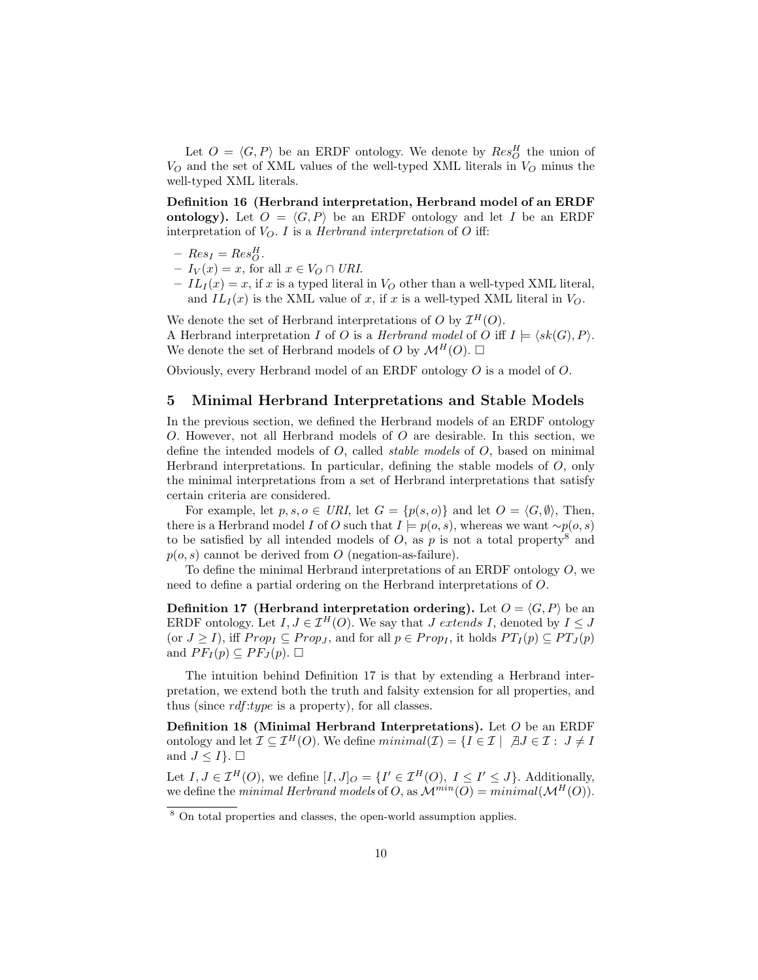Let  $O = \langle G, P \rangle$  be an ERDF ontology. We denote by  $Res^H_O$  the union of  $V_O$  and the set of XML values of the well-typed XML literals in  $V_O$  minus the well-typed XML literals.

Definition 16 (Herbrand interpretation, Herbrand model of an ERDF ontology). Let  $O = \langle G, P \rangle$  be an ERDF ontology and let I be an ERDF interpretation of  $V_O$ . I is a *Herbrand interpretation* of O iff:

- $Res_I = Res_O^H$ .
- $-I_V(x) = x$ , for all  $x \in V_O \cap URI$ .
- $-IL_I(x) = x$ , if x is a typed literal in  $V_O$  other than a well-typed XML literal, and  $IL_I(x)$  is the XML value of x, if x is a well-typed XML literal in  $V_O$ .

We denote the set of Herbrand interpretations of O by  $\mathcal{I}^H(O)$ . A Herbrand interpretation I of O is a Herbrand model of O iff  $I \models \langle sk(G), P \rangle$ . We denote the set of Herbrand models of O by  $\mathcal{M}^H(O)$ .  $\square$ 

Obviously, every Herbrand model of an ERDF ontology O is a model of O.

## 5 Minimal Herbrand Interpretations and Stable Models

In the previous section, we defined the Herbrand models of an ERDF ontology O. However, not all Herbrand models of O are desirable. In this section, we define the intended models of  $O$ , called *stable models* of  $O$ , based on minimal Herbrand interpretations. In particular, defining the stable models of  $O$ , only the minimal interpretations from a set of Herbrand interpretations that satisfy certain criteria are considered.

For example, let  $p, s, o \in \text{URI}$ , let  $G = \{p(s, o)\}\$ and let  $O = \langle G, \emptyset \rangle$ , Then, there is a Herbrand model I of O such that  $I \models p(o, s)$ , whereas we want ~p(o, s) to be satisfied by all intended models of  $O$ , as  $p$  is not a total property<sup>8</sup> and  $p(o, s)$  cannot be derived from O (negation-as-failure).

To define the minimal Herbrand interpretations of an ERDF ontology  $O$ , we need to define a partial ordering on the Herbrand interpretations of O.

**Definition 17 (Herbrand interpretation ordering).** Let  $O = \langle G, P \rangle$  be an ERDF ontology. Let  $I, J \in \mathcal{I}^H(O)$ . We say that J extends I, denoted by  $I \leq J$ (or  $J \geq I$ ), iff  $Prop_I \subseteq Prop_J$ , and for all  $p \in Prop_I$ , it holds  $PT_I(p) \subseteq PT_J(p)$ and  $PF_I(p) \subseteq PF_J(p)$ .  $\square$ 

The intuition behind Definition 17 is that by extending a Herbrand interpretation, we extend both the truth and falsity extension for all properties, and thus (since rdf:type is a property), for all classes.

Definition 18 (Minimal Herbrand Interpretations). Let O be an ERDF ontology and let  $\mathcal{I} \subset \mathcal{I}^H(O)$ . We define  $minimal(\mathcal{I}) = \{I \in \mathcal{I} \mid \exists J \in \mathcal{I} : J \neq I\}$ and  $J \leq I$ .  $\Box$ 

Let  $I, J \in \mathcal{I}^H(O)$ , we define  $[I, J]_O = \{I' \in \mathcal{I}^H(O), I \leq I' \leq J\}$ . Additionally, we define the *minimal Herbrand models* of O, as  $\mathcal{M}^{min}(O) = minimal(\mathcal{M}^{H}(O)).$ 

<sup>8</sup> On total properties and classes, the open-world assumption applies.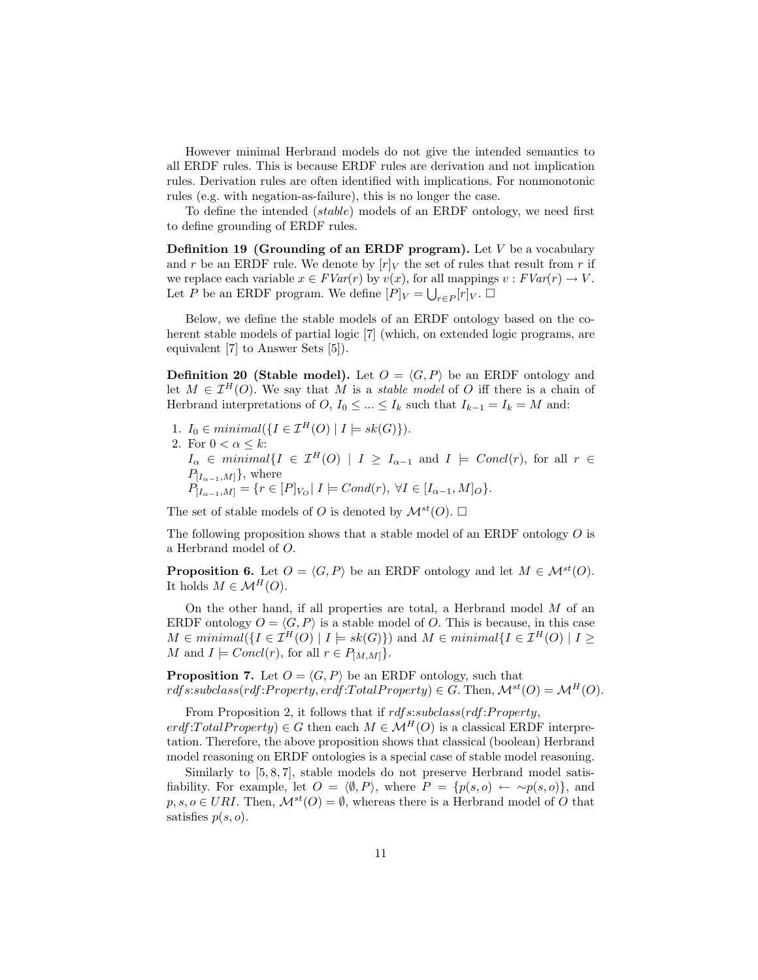However minimal Herbrand models do not give the intended semantics to all ERDF rules. This is because ERDF rules are derivation and not implication rules. Derivation rules are often identified with implications. For nonmonotonic rules (e.g. with negation-as-failure), this is no longer the case.

To define the intended (stable) models of an ERDF ontology, we need first to define grounding of ERDF rules.

**Definition 19 (Grounding of an ERDF program).** Let  $V$  be a vocabulary and r be an ERDF rule. We denote by  $[r]_V$  the set of rules that result from r if we replace each variable  $x \in FVar(r)$  by  $v(x)$ , for all mappings  $v : FVar(r) \to V$ . Let P be an ERDF program. We define  $[P]_V = \bigcup_{r \in P} [r]_V$ .  $\Box$ 

Below, we define the stable models of an ERDF ontology based on the coherent stable models of partial logic [7] (which, on extended logic programs, are equivalent [7] to Answer Sets [5]).

**Definition 20 (Stable model).** Let  $O = \langle G, P \rangle$  be an ERDF ontology and let  $M \in \mathcal{I}^H(O)$ . We say that M is a *stable model* of O iff there is a chain of Herbrand interpretations of  $O, I_0 \leq ... \leq I_k$  such that  $I_{k-1} = I_k = M$  and:

- 1.  $I_0 \in minimal({I \in \mathcal{I}^H(O) \mid I \models sk(G)})$ .
- 2. For  $0 < \alpha \leq k$ :  $I_{\alpha} \in \text{minimal}\{I \in \mathcal{I}^H(O) \mid I \geq I_{\alpha-1} \text{ and } I \models \text{Cond}(r), \text{ for all } r \in I_{\alpha-1} \}$  $P_{[I_{\alpha-1},M]}\},$  where  $P_{[I_{\alpha-1},M]} = \{r \in [P]_{V_O} | I \models Cond(r), \ \forall I \in [I_{\alpha-1},M]_{O}\}.$

The set of stable models of O is denoted by  $\mathcal{M}^{st}(O)$ .  $\square$ 

The following proposition shows that a stable model of an ERDF ontology  $O$  is a Herbrand model of O.

**Proposition 6.** Let  $O = \langle G, P \rangle$  be an ERDF ontology and let  $M \in \mathcal{M}^{st}(O)$ . It holds  $M \in \mathcal{M}^H(O)$ .

On the other hand, if all properties are total, a Herbrand model  $M$  of an ERDF ontology  $O = \langle G, P \rangle$  is a stable model of O. This is because, in this case  $M \in \text{minimal}(\lbrace I \in \mathcal{I}^H(O) \mid I \models sk(G) \rbrace)$  and  $M \in \text{minimal}(\lbrace I \in \mathcal{I}^H(O) \mid I \geq \mathcal{I}^H(O) \mid I \geq \mathcal{I}^H(O) \mid I \geq \mathcal{I}^H(O) \mid I \geq \mathcal{I}^H(O) \mid I \geq \mathcal{I}^H(O) \mid I \geq \mathcal{I}^H(O) \mid I \geq \mathcal{I}^H(O) \mid I \geq \mathcal{I}^H(O) \mid I \geq \mathcal{I}^H(O) \mid I \geq \mathcal{I}$ M and  $I \models Concl(r)$ , for all  $r \in P_{[M,M]}$ .

**Proposition 7.** Let  $O = \langle G, P \rangle$  be an ERDF ontology, such that  $rdfs: subclass(rdf:Property, erdf:TotalProperty) \in G$ . Then,  $\mathcal{M}^{st}(O) = \mathcal{M}^{H}(O)$ .

From Proposition 2, it follows that if  $rdfs$ : $subclass(rdf:Property,$  $erdf:TotalProperty$ ) ∈ G then each  $M \in \mathcal{M}^{H}(O)$  is a classical ERDF interpretation. Therefore, the above proposition shows that classical (boolean) Herbrand model reasoning on ERDF ontologies is a special case of stable model reasoning.

Similarly to [5, 8, 7], stable models do not preserve Herbrand model satisfiability. For example, let  $O = \langle \emptyset, P \rangle$ , where  $P = \{p(s, o) \leftarrow \sim p(s, o)\}\$ , and  $p, s, o \in URI$ . Then,  $\mathcal{M}^{st}(O) = \emptyset$ , whereas there is a Herbrand model of O that satisfies  $p(s, o)$ .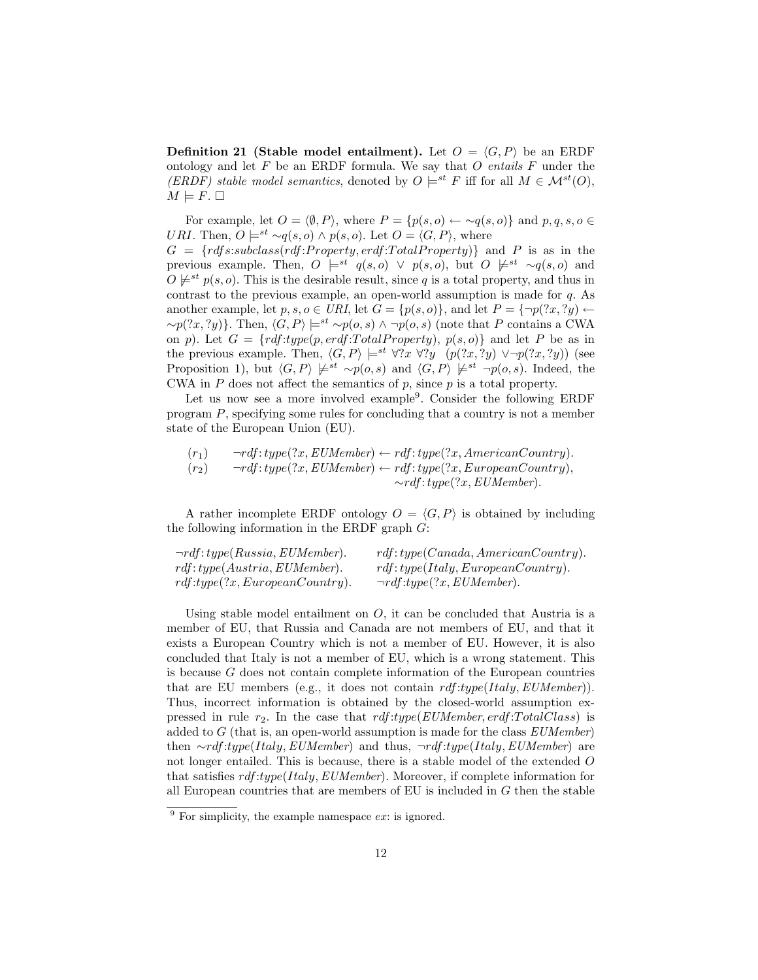**Definition 21 (Stable model entailment).** Let  $O = \langle G, P \rangle$  be an ERDF ontology and let  $F$  be an ERDF formula. We say that  $O$  entails  $F$  under the (ERDF) stable model semantics, denoted by  $O \models^{st} F$  iff for all  $M \in \mathcal{M}^{st}(O)$ ,  $M \models F. \Box$ 

For example, let  $O = \langle \emptyset, P \rangle$ , where  $P = \{p(s, o) \leftarrow \neg q(s, o)\}\$ and  $p, q, s, o \in$ URI. Then,  $O \models^{st} \sim q(s, o) \land p(s, o)$ . Let  $O = \langle G, P \rangle$ , where

 $G = \{rdfs: subclass(rdf:Property, erdf:TotalProperty)\}\$ and P is as in the previous example. Then,  $O \models^{st} q(s, o) \lor p(s, o)$ , but  $O \not\models^{st} \sim q(s, o)$  and  $O \not\models^{st} p(s, o)$ . This is the desirable result, since q is a total property, and thus in contrast to the previous example, an open-world assumption is made for  $q$ . As another example, let  $p, s, o \in \text{URI}$ , let  $G = \{p(s, o)\}\$ , and let  $P = \{\neg p(?x, ?y) \leftarrow$  $~\sim p(?x, ?y)$ . Then,  $\langle G, P \rangle \models^{st} ~\sim p(o, s) \land \neg p(o, s)$  (note that P contains a CWA on p). Let  $G = \{ rdf : type(p, erdf:TotalProperty), p(s, o) \}$  and let P be as in the previous example. Then,  $\langle G, P \rangle \models^{st} \forall?x \forall?y \ (p(?x, ?y) \lor \neg p(?x, ?y))$  (see Proposition 1), but  $\langle G, P \rangle \not\models^{st} \sim p(o, s)$  and  $\langle G, P \rangle \not\models^{st} \neg p(o, s)$ . Indeed, the CWA in  $P$  does not affect the semantics of  $p$ , since  $p$  is a total property.

Let us now see a more involved example<sup>9</sup>. Consider the following ERDF program P, specifying some rules for concluding that a country is not a member state of the European Union (EU).

 $(r_1) \quad \neg rdf: type(?x, EUMember) \leftarrow rdf: type(?x, AmericanCountry).$  $(r_2) \qquad \neg rdf: type(?x, EUMember) \leftarrow rdf: type(?x, EuropeanCountry),$  $~\sim$ rdf:type(?x, EUMember).

A rather incomplete ERDF ontology  $O = \langle G, P \rangle$  is obtained by including the following information in the ERDF graph  $G$ :

| $\neg rdf: type(Russia, EUMember).$ | rdf: type(Canada, AmericanCountry).  |
|-------------------------------------|--------------------------------------|
| rdf: type(Austria, EUMember).       | rdf: type (Italy, European Country). |
| rdf: type(?x, EuropeanCountry).     | $\neg rdf: type(?x, EUMember).$      |

Using stable model entailment on  $O$ , it can be concluded that Austria is a member of EU, that Russia and Canada are not members of EU, and that it exists a European Country which is not a member of EU. However, it is also concluded that Italy is not a member of EU, which is a wrong statement. This is because G does not contain complete information of the European countries that are EU members (e.g., it does not contain  $\textit{rdf:type}(Italy, EUMember)$ ). Thus, incorrect information is obtained by the closed-world assumption expressed in rule  $r_2$ . In the case that  $\textit{rdf:type}(EUMember, \textit{erdf:TotalClass})$  is added to  $G$  (that is, an open-world assumption is made for the class  $EUMember$ ) then  $\sim rdf: type(Italy, EUMember)$  and thus,  $\neg rdf: type(Italy, EUMember)$  are not longer entailed. This is because, there is a stable model of the extended O that satisfies rdf:type(Italy, EUMember). Moreover, if complete information for all European countries that are members of  $E\text{U}$  is included in  $G$  then the stable

 $9$  For simplicity, the example namespace  $ex:$  is ignored.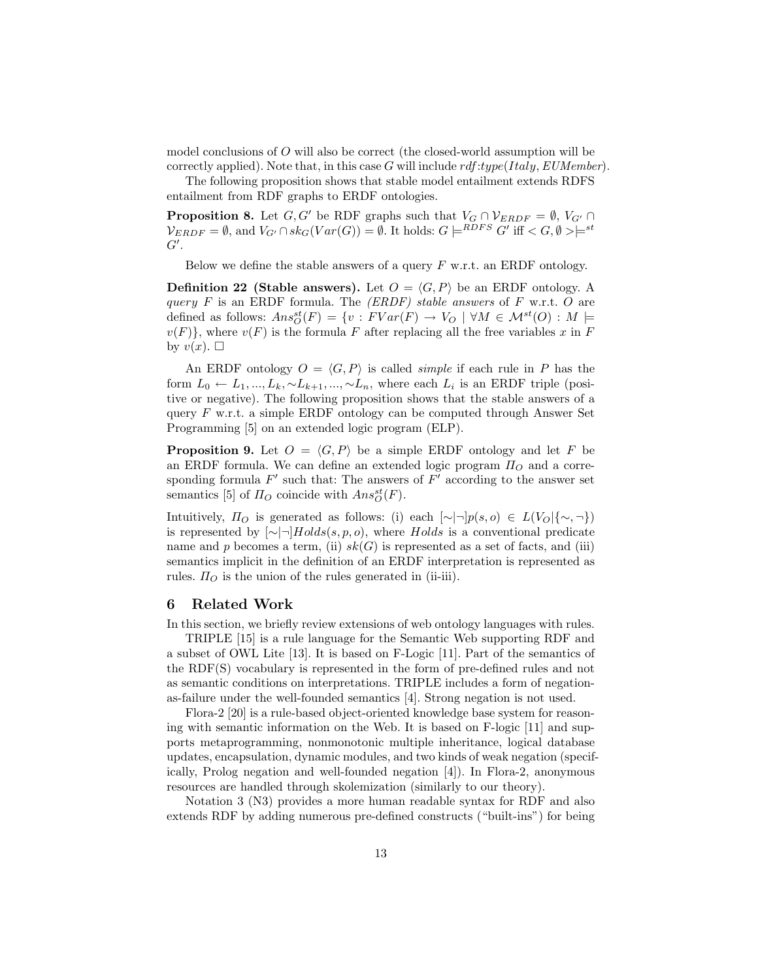model conclusions of O will also be correct (the closed-world assumption will be correctly applied). Note that, in this case G will include  $\textit{rdf:type}(Italy, EUMember)$ .

The following proposition shows that stable model entailment extends RDFS entailment from RDF graphs to ERDF ontologies.

**Proposition 8.** Let  $G, G'$  be RDF graphs such that  $V_G \cap \mathcal{V}_{ERDF} = \emptyset$ ,  $V_{G'} \cap \mathcal{V}_{ERDF}$  $\mathcal{V}_{ERDF} = \emptyset$ , and  $V_{G'} \cap sk_G(Var(G)) = \emptyset$ . It holds:  $G \models^{RDFS} G'$  iff  $\lt G, \emptyset \gt \models^{st}$  $G^{\prime}$ .

Below we define the stable answers of a query  $F$  w.r.t. an ERDF ontology.

**Definition 22 (Stable answers).** Let  $O = \langle G, P \rangle$  be an ERDF ontology. A query  $F$  is an ERDF formula. The *(ERDF)* stable answers of  $F$  w.r.t.  $O$  are defined as follows:  $Ans_0^{st}(F) = \{v : FVar(F) \to V_O \mid \forall M \in \mathcal{M}^{st}(O) : M \models$  $v(F)$ , where  $v(F)$  is the formula F after replacing all the free variables x in F by  $v(x)$ .  $\square$ 

An ERDF ontology  $O = \langle G, P \rangle$  is called *simple* if each rule in P has the form  $L_0 \leftarrow L_1, ..., L_k, \sim L_{k+1}, ..., \sim L_n$ , where each  $L_i$  is an ERDF triple (positive or negative). The following proposition shows that the stable answers of a query  $F$  w.r.t. a simple ERDF ontology can be computed through Answer Set Programming [5] on an extended logic program (ELP).

**Proposition 9.** Let  $O = \langle G, P \rangle$  be a simple ERDF ontology and let F be an ERDF formula. We can define an extended logic program  $\Pi_{\mathcal{O}}$  and a corresponding formula  $F'$  such that: The answers of  $F'$  according to the answer set semantics [5] of  $\Pi_O$  coincide with  $Ans^{st}_{O}(F)$ .

Intuitively,  $\Pi_O$  is generated as follows: (i) each  $[\sim] \neg p(s, o) \in L(V_O | {\sim} \neg {\sim})$ is represented by  $\lceil \sim \rceil Holds(s, p, o)$ , where Holds is a conventional predicate name and p becomes a term, (ii)  $sk(G)$  is represented as a set of facts, and (iii) semantics implicit in the definition of an ERDF interpretation is represented as rules.  $\Pi_{\mathcal{O}}$  is the union of the rules generated in (ii-iii).

#### 6 Related Work

In this section, we briefly review extensions of web ontology languages with rules.

TRIPLE [15] is a rule language for the Semantic Web supporting RDF and a subset of OWL Lite [13]. It is based on F-Logic [11]. Part of the semantics of the RDF(S) vocabulary is represented in the form of pre-defined rules and not as semantic conditions on interpretations. TRIPLE includes a form of negationas-failure under the well-founded semantics [4]. Strong negation is not used.

Flora-2 [20] is a rule-based object-oriented knowledge base system for reasoning with semantic information on the Web. It is based on F-logic [11] and supports metaprogramming, nonmonotonic multiple inheritance, logical database updates, encapsulation, dynamic modules, and two kinds of weak negation (specifically, Prolog negation and well-founded negation [4]). In Flora-2, anonymous resources are handled through skolemization (similarly to our theory).

Notation 3 (N3) provides a more human readable syntax for RDF and also extends RDF by adding numerous pre-defined constructs ("built-ins") for being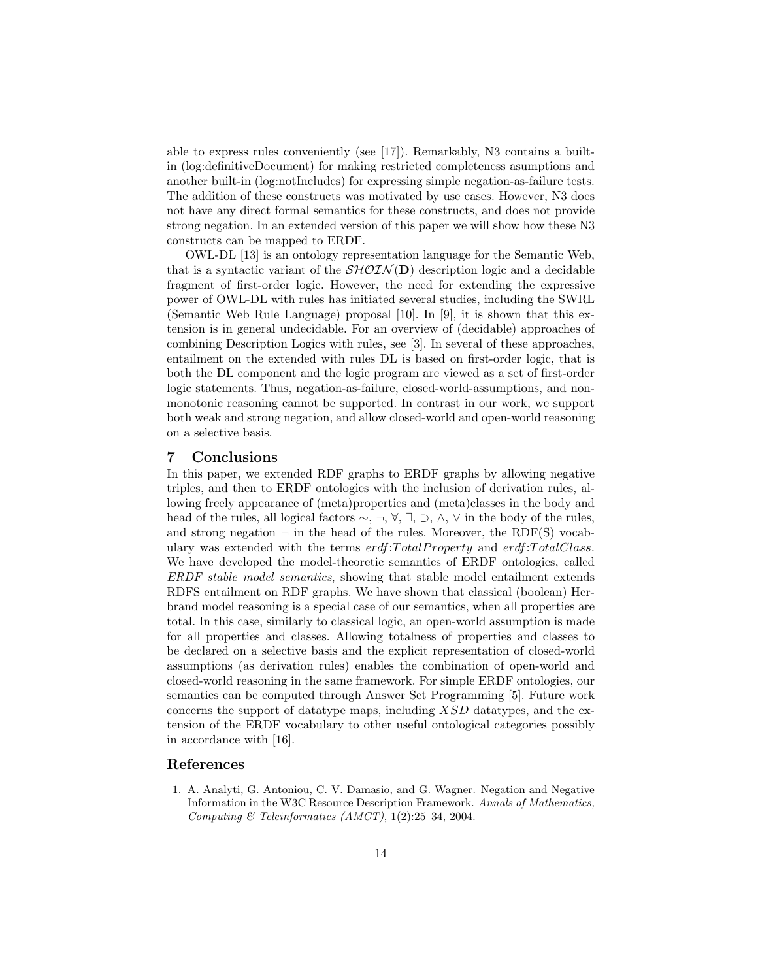able to express rules conveniently (see [17]). Remarkably, N3 contains a builtin (log:definitiveDocument) for making restricted completeness asumptions and another built-in (log:notIncludes) for expressing simple negation-as-failure tests. The addition of these constructs was motivated by use cases. However, N3 does not have any direct formal semantics for these constructs, and does not provide strong negation. In an extended version of this paper we will show how these N3 constructs can be mapped to ERDF.

OWL-DL [13] is an ontology representation language for the Semantic Web, that is a syntactic variant of the  $\mathcal{SHOIN}(\mathbf{D})$  description logic and a decidable fragment of first-order logic. However, the need for extending the expressive power of OWL-DL with rules has initiated several studies, including the SWRL (Semantic Web Rule Language) proposal [10]. In [9], it is shown that this extension is in general undecidable. For an overview of (decidable) approaches of combining Description Logics with rules, see [3]. In several of these approaches, entailment on the extended with rules DL is based on first-order logic, that is both the DL component and the logic program are viewed as a set of first-order logic statements. Thus, negation-as-failure, closed-world-assumptions, and nonmonotonic reasoning cannot be supported. In contrast in our work, we support both weak and strong negation, and allow closed-world and open-world reasoning on a selective basis.

### 7 Conclusions

In this paper, we extended RDF graphs to ERDF graphs by allowing negative triples, and then to ERDF ontologies with the inclusion of derivation rules, allowing freely appearance of (meta)properties and (meta)classes in the body and head of the rules, all logical factors  $\sim$ ,  $\neg$ ,  $\forall$ ,  $\exists$ ,  $\supset$ ,  $\wedge$ ,  $\vee$  in the body of the rules, and strong negation  $\neg$  in the head of the rules. Moreover, the RDF(S) vocabulary was extended with the terms  $erdf:TotalProperty$  and  $erdf:TotalClass$ . We have developed the model-theoretic semantics of ERDF ontologies, called ERDF stable model semantics, showing that stable model entailment extends RDFS entailment on RDF graphs. We have shown that classical (boolean) Herbrand model reasoning is a special case of our semantics, when all properties are total. In this case, similarly to classical logic, an open-world assumption is made for all properties and classes. Allowing totalness of properties and classes to be declared on a selective basis and the explicit representation of closed-world assumptions (as derivation rules) enables the combination of open-world and closed-world reasoning in the same framework. For simple ERDF ontologies, our semantics can be computed through Answer Set Programming [5]. Future work concerns the support of datatype maps, including XSD datatypes, and the extension of the ERDF vocabulary to other useful ontological categories possibly in accordance with [16].

### References

1. A. Analyti, G. Antoniou, C. V. Damasio, and G. Wagner. Negation and Negative Information in the W3C Resource Description Framework. Annals of Mathematics, Computing & Teleinformatics  $(AMCT)$ , 1(2):25–34, 2004.